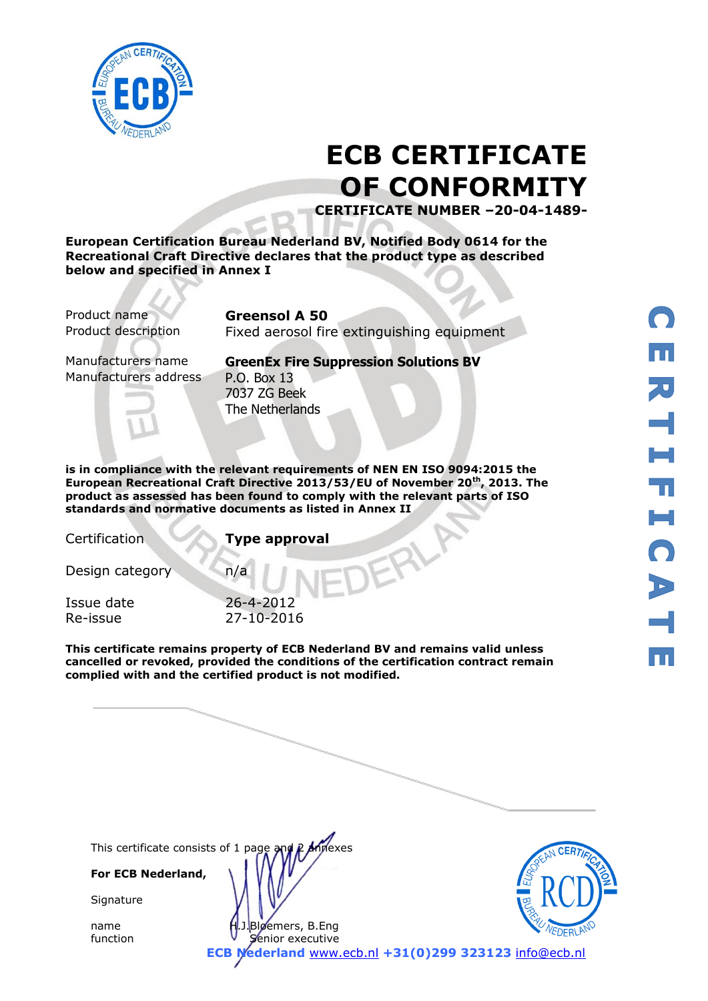

# **ECB CERTIFICATE OF CONFORMITY**

**CERTIFICATE NUMBER –20-04-1489-**

**European Certification Bureau Nederland BV, Notified Body 0614 for the Recreational Craft Directive declares that the product type as described below and specified in Annex I**

Product name **Greensol A 50**

Product description Fixed aerosol fire extinguishing equipment

Manufacturers address P.O. Box 13

Manufacturers name **GreenEx Fire Suppression Solutions BV** 7037 ZG Beek The Netherlands

**is in compliance with the relevant requirements of NEN EN ISO 9094:2015 the European Recreational Craft Directive 2013/53/EU of November 20th, 2013. The product as assessed has been found to comply with the relevant parts of ISO standards and normative documents as listed in Annex II** 

Certification **Type approval**

Design category n/a

Issue date 26-4-2012 Re-issue 27-10-2016

**This certificate remains property of ECB Nederland BV and remains valid unless cancelled or revoked, provided the conditions of the certification contract remain complied with and the certified product is not modified.** 

This certificate consists of 1 page and P Annexes

**For ECB Nederland,**

**Signature** 

name H.J.Bloemers, B.Eng function **V** Senior executive



**ECB Nederland** [www.ecb.nl](http://www.ecb.nl/) **+31(0)299 323123** [info@ecb.nl](mailto:info@ecb.nl)